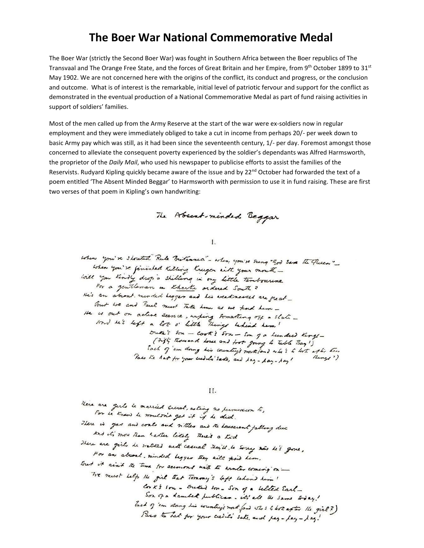## **The Boer War National Commemorative Medal**

The Boer War (strictly the Second Boer War) was fought in Southern Africa between the Boer republics of The Transvaal and The Orange Free State, and the forces of Great Britain and her Empire, from 9th October 1899 to 31st May 1902. We are not concerned here with the origins of the conflict, its conduct and progress, or the conclusion and outcome. What is of interest is the remarkable, initial level of patriotic fervour and support for the conflict as demonstrated in the eventual production of a National Commemorative Medal as part of fund raising activities in support of soldiers' families.

Most of the men called up from the Army Reserve at the start of the war were ex-soldiers now in regular employment and they were immediately obliged to take a cut in income from perhaps 20/- per week down to basic Army pay which was still, as it had been since the seventeenth century, 1/- per day. Foremost amongst those concerned to alleviate the consequent poverty experienced by the soldier's dependants was Alfred Harmsworth, the proprietor of the *Daily Mail*, who used his newspaper to publicise efforts to assist the families of the Reservists. Rudyard Kipling quickly became aware of the issue and by 22<sup>nd</sup> October had forwarded the text of a poem entitled 'The Absent Minded Beggar' to Harmsworth with permission to use it in fund raising. These are first two verses of that poem in Kipling's own handwriting:

The Absent-minded Beggar

 $\mathbf{I}$ .

when you're shouted Rule Britannea" - when you're sung "God Same The Placen" when you're finished Killing Kruger with your mouth will you kindly drop a shilling in my little tembourne For a gentleman in Kharke ordered South ? He's an absent monded legger and his weaknessed are great-But we and Paul must Take hem as we knd her -He is out on active seemee, unfing something off a stati sond le's left a lot o' little things behind hem! Duke's Son - Cook's Son - Son of a lunded Kings -(74); Rowand Love and foot going to table Bay !) lach of 'um doing his country's north land who's to look as to the Taso the hart for your ceeder's sake, and lay - lay - lay ! Rings?)

II.

Here are gerlo to married cross, asking no permuscion to, For he knew he wouldn't get it is he did. There is you and coals and wither and the lowsers of falling due And it's more than hatter likely there's a tid There are girls he walked with casual they'll to sorry now his gone , For an absort minded begger they will kind him . But it ain't the time for seconors with the worker coming on -The must left the girl that Tommy's left behind him ! Conk's som - Outsid som - Son of a selled Earl -Son of a dambert publican. it's all the same today ! Each of 'em clang his country's north fand who s to lost after the girl?) Pass to hat for your cubic's sake and pay - pay - ) ag!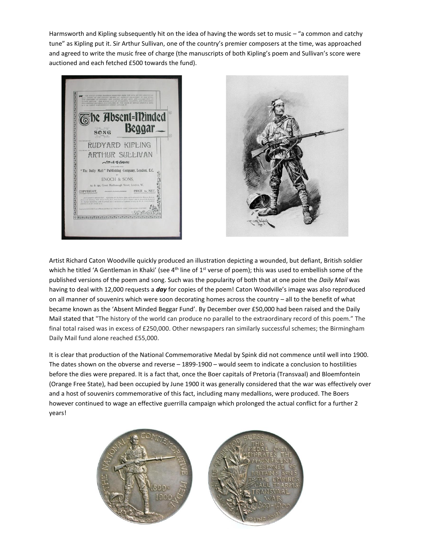Harmsworth and Kipling subsequently hit on the idea of having the words set to music – "a common and catchy tune" as Kipling put it. Sir Arthur Sullivan, one of the country's premier composers at the time, was approached and agreed to write the music free of charge (the manuscripts of both Kipling's poem and Sullivan's score were auctioned and each fetched £500 towards the fund).





Artist Richard Caton Woodville quickly produced an illustration depicting a wounded, but defiant, British soldier which he titled 'A Gentleman in Khaki' (see 4<sup>th</sup> line of 1<sup>st</sup> verse of poem); this was used to embellish some of the published versions of the poem and song. Such was the popularity of both that at one point the *Daily Mail* was having to deal with 12,000 requests a *day* for copies of the poem! Caton Woodville's image was also reproduced on all manner of souvenirs which were soon decorating homes across the country – all to the benefit of what became known as the 'Absent Minded Beggar Fund'. By December over £50,000 had been raised and the Daily Mail stated that "The history of the world can produce no parallel to the extraordinary record of this poem." The final total raised was in excess of £250,000. Other newspapers ran similarly successful schemes; the Birmingham Daily Mail fund alone reached £55,000.

It is clear that production of the National Commemorative Medal by Spink did not commence until well into 1900. The dates shown on the obverse and reverse – 1899-1900 – would seem to indicate a conclusion to hostilities before the dies were prepared. It is a fact that, once the Boer capitals of Pretoria (Transvaal) and Bloemfontein (Orange Free State), had been occupied by June 1900 it was generally considered that the war was effectively over and a host of souvenirs commemorative of this fact, including many medallions, were produced. The Boers however continued to wage an effective guerrilla campaign which prolonged the actual conflict for a further 2 years!